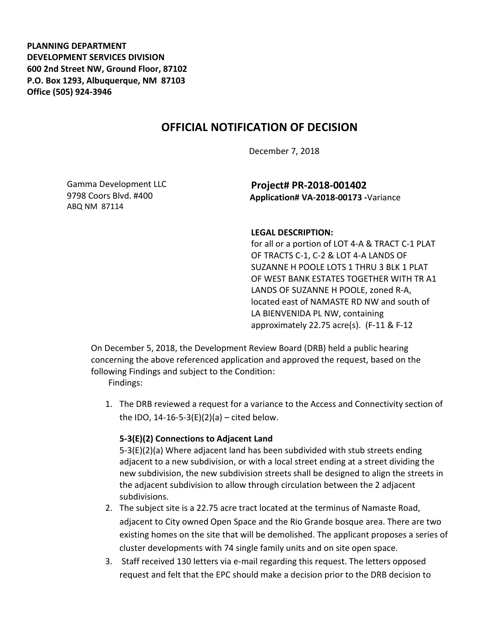**PLANNING DEPARTMENT DEVELOPMENT SERVICES DIVISION 600 2nd Street NW, Ground Floor, 87102 P.O. Box 1293, Albuquerque, NM 87103 Office (505) 924-3946** 

# **OFFICIAL NOTIFICATION OF DECISION**

December 7, 2018

Gamma Development LLC 9798 Coors Blvd. #400 ABQ NM 87114

**Project# PR-2018-001402 Application# VA-2018-00173 -**Variance

#### **LEGAL DESCRIPTION:**

for all or a portion of LOT 4-A & TRACT C-1 PLAT OF TRACTS C-1, C-2 & LOT 4-A LANDS OF SUZANNE H POOLE LOTS 1 THRU 3 BLK 1 PLAT OF WEST BANK ESTATES TOGETHER WITH TR A1 LANDS OF SUZANNE H POOLE, zoned R-A, located east of NAMASTE RD NW and south of LA BIENVENIDA PL NW, containing approximately 22.75 acre(s). (F-11 & F-12

On December 5, 2018, the Development Review Board (DRB) held a public hearing concerning the above referenced application and approved the request, based on the following Findings and subject to the Condition:

Findings:

1. The DRB reviewed a request for a variance to the Access and Connectivity section of the IDO,  $14 - 16 - 5 - 3(E)(2)(a) - cited below.$ 

#### **5-3(E)(2) Connections to Adjacent Land**

5-3(E)(2)(a) Where adjacent land has been subdivided with stub streets ending adjacent to a new subdivision, or with a local street ending at a street dividing the new subdivision, the new subdivision streets shall be designed to align the streets in the adjacent subdivision to allow through circulation between the 2 adjacent subdivisions.

- 2. The subject site is a 22.75 acre tract located at the terminus of Namaste Road, adjacent to City owned Open Space and the Rio Grande bosque area. There are two existing homes on the site that will be demolished. The applicant proposes a series of cluster developments with 74 single family units and on site open space.
- 3. Staff received 130 letters via e-mail regarding this request. The letters opposed request and felt that the EPC should make a decision prior to the DRB decision to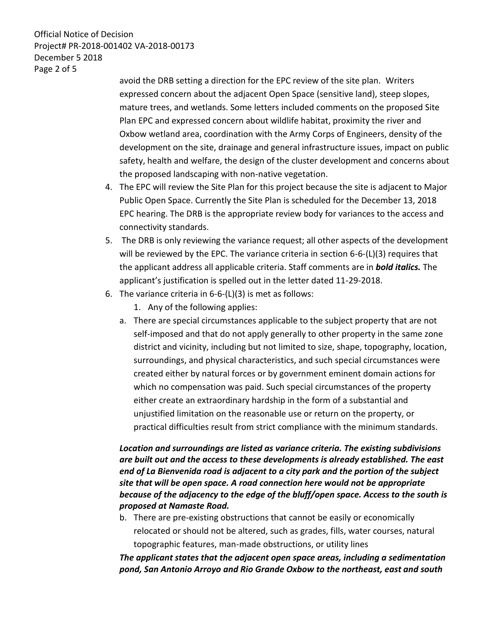Official Notice of Decision Project# PR-2018-001402 VA-2018-00173 December 5 2018 Page 2 of 5

> avoid the DRB setting a direction for the EPC review of the site plan. Writers expressed concern about the adjacent Open Space (sensitive land), steep slopes, mature trees, and wetlands. Some letters included comments on the proposed Site Plan EPC and expressed concern about wildlife habitat, proximity the river and Oxbow wetland area, coordination with the Army Corps of Engineers, density of the development on the site, drainage and general infrastructure issues, impact on public safety, health and welfare, the design of the cluster development and concerns about the proposed landscaping with non-native vegetation.

- 4. The EPC will review the Site Plan for this project because the site is adjacent to Major Public Open Space. Currently the Site Plan is scheduled for the December 13, 2018 EPC hearing. The DRB is the appropriate review body for variances to the access and connectivity standards.
- 5. The DRB is only reviewing the variance request; all other aspects of the development will be reviewed by the EPC. The variance criteria in section 6-6-(L)(3) requires that the applicant address all applicable criteria. Staff comments are in *bold italics.* The applicant's justification is spelled out in the letter dated 11-29-2018.
- 6. The variance criteria in 6-6-(L)(3) is met as follows:
	- 1. Any of the following applies:
	- a. There are special circumstances applicable to the subject property that are not self-imposed and that do not apply generally to other property in the same zone district and vicinity, including but not limited to size, shape, topography, location, surroundings, and physical characteristics, and such special circumstances were created either by natural forces or by government eminent domain actions for which no compensation was paid. Such special circumstances of the property either create an extraordinary hardship in the form of a substantial and unjustified limitation on the reasonable use or return on the property, or practical difficulties result from strict compliance with the minimum standards.

#### *Location and surroundings are listed as variance criteria. The existing subdivisions are built out and the access to these developments is already established. The east end of La Bienvenida road is adjacent to a city park and the portion of the subject site that will be open space. A road connection here would not be appropriate because of the adjacency to the edge of the bluff/open space. Access to the south is proposed at Namaste Road.*

b. There are pre-existing obstructions that cannot be easily or economically relocated or should not be altered, such as grades, fills, water courses, natural topographic features, man-made obstructions, or utility lines

*The applicant states that the adjacent open space areas, including a sedimentation pond, San Antonio Arroyo and Rio Grande Oxbow to the northeast, east and south*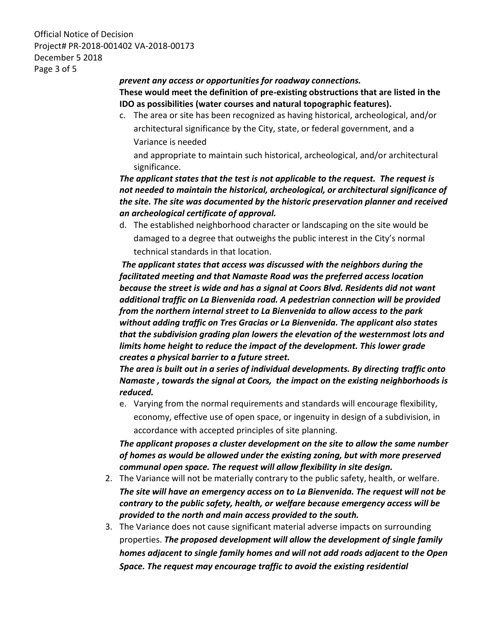Official Notice of Decision Project# PR-2018-001402 VA-2018-00173 December 5 2018 Page 3 of 5

### *prevent any access or opportunities for roadway connections.* **These would meet the definition of pre-existing obstructions that are listed in the IDO as possibilities (water courses and natural topographic features).**

c. The area or site has been recognized as having historical, archeological, and/or architectural significance by the City, state, or federal government, and a Variance is needed

and appropriate to maintain such historical, archeological, and/or architectural significance.

#### *The applicant states that the test is not applicable to the request. The request is not needed to maintain the historical, archeological, or architectural significance of the site. The site was documented by the historic preservation planner and received an archeological certificate of approval.*

d. The established neighborhood character or landscaping on the site would be damaged to a degree that outweighs the public interest in the City's normal technical standards in that location.

*The applicant states that access was discussed with the neighbors during the facilitated meeting and that Namaste Road was the preferred access location because the street is wide and has a signal at Coors Blvd. Residents did not want additional traffic on La Bienvenida road. A pedestrian connection will be provided from the northern internal street to La Bienvenida to allow access to the park without adding traffic on Tres Gracias or La Bienvenida. The applicant also states that the subdivision grading plan lowers the elevation of the westernmost lots and limits home height to reduce the impact of the development. This lower grade creates a physical barrier to a future street.*

*The area is built out in a series of individual developments. By directing traffic onto Namaste , towards the signal at Coors, the impact on the existing neighborhoods is reduced.* 

e. Varying from the normal requirements and standards will encourage flexibility, economy, effective use of open space, or ingenuity in design of a subdivision, in accordance with accepted principles of site planning.

### *The applicant proposes a cluster development on the site to allow the same number of homes as would be allowed under the existing zoning, but with more preserved communal open space. The request will allow flexibility in site design.*

- 2. The Variance will not be materially contrary to the public safety, health, or welfare. *The site will have an emergency access on to La Bienvenida. The request will not be contrary to the public safety, health, or welfare because emergency access will be provided to the north and main access provided to the south.*
- 3. The Variance does not cause significant material adverse impacts on surrounding properties. *The proposed development will allow the development of single family homes adjacent to single family homes and will not add roads adjacent to the Open Space. The request may encourage traffic to avoid the existing residential*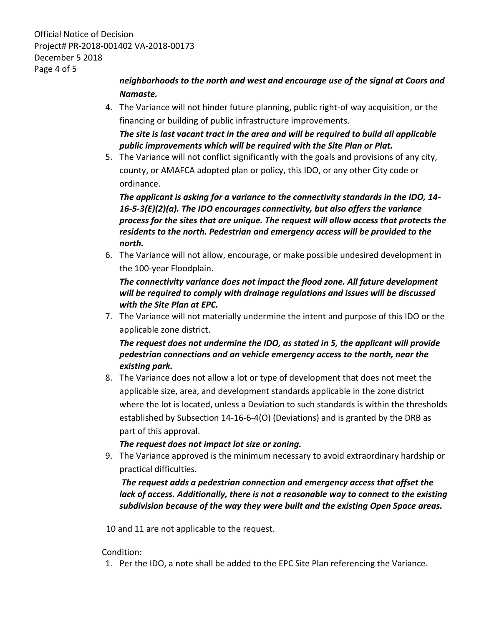Official Notice of Decision Project# PR-2018-001402 VA-2018-00173 December 5 2018 Page 4 of 5

## *neighborhoods to the north and west and encourage use of the signal at Coors and Namaste.*

4. The Variance will not hinder future planning, public right-of way acquisition, or the financing or building of public infrastructure improvements.

*The site is last vacant tract in the area and will be required to build all applicable public improvements which will be required with the Site Plan or Plat.*

5. The Variance will not conflict significantly with the goals and provisions of any city, county, or AMAFCA adopted plan or policy, this IDO, or any other City code or ordinance.

*The applicant is asking for a variance to the connectivity standards in the IDO, 14- 16-5-3(E)(2)(a). The IDO encourages connectivity, but also offers the variance process for the sites that are unique. The request will allow access that protects the residents to the north. Pedestrian and emergency access will be provided to the north.*

6. The Variance will not allow, encourage, or make possible undesired development in the 100-year Floodplain.

*The connectivity variance does not impact the flood zone. All future development will be required to comply with drainage regulations and issues will be discussed with the Site Plan at EPC.*

7. The Variance will not materially undermine the intent and purpose of this IDO or the applicable zone district.

*The request does not undermine the IDO, as stated in 5, the applicant will provide pedestrian connections and an vehicle emergency access to the north, near the existing park.*

8. The Variance does not allow a lot or type of development that does not meet the applicable size, area, and development standards applicable in the zone district where the lot is located, unless a Deviation to such standards is within the thresholds established by Subsection 14-16-6-4(O) (Deviations) and is granted by the DRB as part of this approval.

#### *The request does not impact lot size or zoning.*

9. The Variance approved is the minimum necessary to avoid extraordinary hardship or practical difficulties.

#### *The request adds a pedestrian connection and emergency access that offset the lack of access. Additionally, there is not a reasonable way to connect to the existing subdivision because of the way they were built and the existing Open Space areas.*

10 and 11 are not applicable to the request.

#### Condition:

1. Per the IDO, a note shall be added to the EPC Site Plan referencing the Variance.